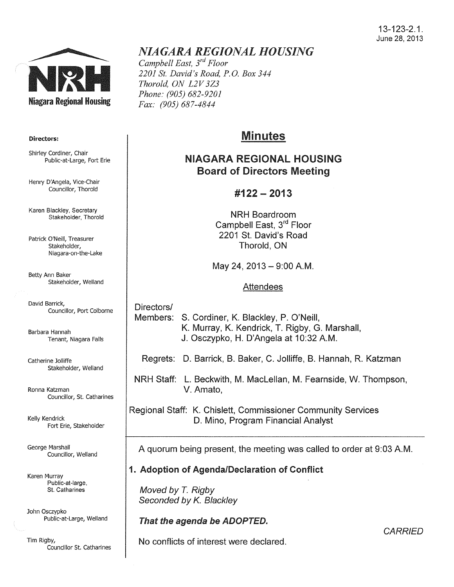#### 13-123-2.1. June 28, 2013



#### Directors:

Shirley Cordiner, Chair Public-at-Large, Fort Erie

Henry D'Angela, Vice-Chair Councillor, Thorold

Karen Blackley, Secretary Stakeholder, Thorold

Patrick O'Neill, Treasurer Stakeholder, Niagara-on-the-Lake

Betty Ann Baker Stakeholder, Weiland

David Barrick, Councillor, Port Colborne

Barbara Hannah Tenant, Niagara Falls

Catherine Jolliffe Stakeholder, Weiland

Ronna Katzman Councillor, St. Catharines

Kelly Kendrick Fort Erie, Stakeholder

George Marshall Councillor, Weiland

Karen Murray Public-at-large, St. Catharines

John Osczypko Public-at-Large, Weiland

Tim Rigby, Councillor St. Catharines

## *NIAGARA REGIONAL HOUSING*

*Campbell East, 3rd Floor 2201 St. David's Road, P.O. Box 344 Thorold, ON L2V 3Z3 Phone: (905) 682-9201 Fax: (905) 687-4844* 

# Minutes

## NIAGARA REGIONAL HOUSING Board of Directors Meeting

## #122- 2013

NRH Boardroom Campbell East, 3rd Floor 2201 St. David's Road Thorold, ON

May 24, 2013 - 9:00 A.M.

#### Attendees

Directors/ Members: S. Cordiner, K. Blackley, P. O'Neill, K. Murray, K. Kendrick, T. Rigby, G. Marshall, J. Osczypko, H. D'Angela at 10:32 A.M.

Regrets: D. Barrick, B. Baker, C. Jolliffe, B. Hannah, R. Katzman

NRH Staff: L. Beckwith, M. Maclellan, M. Fearnside, W. Thompson, V. Amato,

Regional Staff: K. Chislett, Commissioner Community Services D. Mino, Program Financial Analyst

A quorum being present, the meeting was called to order at 9:03A.M.

## 1. Adoption of Agenda/Declaration of Conflict

Moved by *T.* Rigby Seconded by K. Blackley

That the agenda be ADOPTED.

No conflicts of interest were declared.

**CARRIED**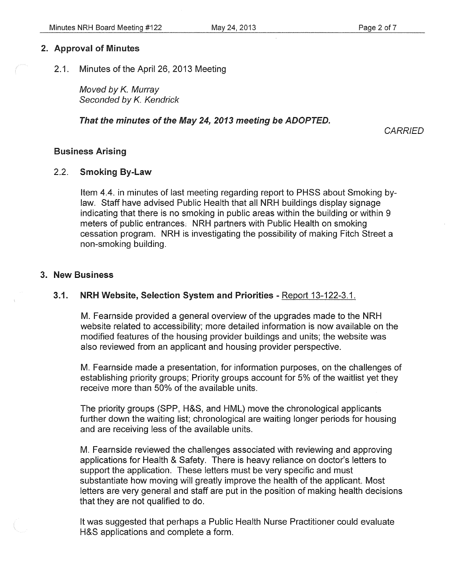#### 2. Approval of Minutes

2.1. Minutes of the April 26, 2013 Meeting

Moved by *K.* Murray Seconded by *K.* Kendrick

#### That the minutes of the May 24, 2013 meeting be ADOPTED.

**CARRIED** 

#### Business Arising

#### 2.2. Smoking By-Law

Item 4.4. in minutes of last meeting regarding report to PHSS about Smoking bylaw. Staff have advised Public Health that all NRH buildings display signage indicating that there is no smoking in public areas within the building or within 9 meters of public entrances: NRH partners with Public Health on smoking cessation program. NRH is investigating the possibility of making Fitch Street a non-smoking building.

#### 3. New Business

#### 3.1. NRH Website, Selection System and Priorities- Report 13-122-3.1.

M. Fearnside provided a general overview of the upgrades made to the NRH website related to accessibility; more detailed information is now available on the modified features of the housing provider buildings and units; the website was also reviewed from an applicant and housing provider perspective.

M. Fearnside made a presentation, for information purposes, on the challenges of establishing priority groups; Priority groups account for 5% of the waitlist yet they receive more than 50% of the available units.

The priority groups (SPP, H&S, and HML) move the chronological applicants further down the waiting list; chronological are waiting longer periods for housing and are receiving less of the available units.

M. Fearnside reviewed the challenges associated with reviewing and approving applications for Health & Safety. There is heavy reliance on doctor's letters to support the application. These letters must be very specific and must substantiate how moving will greatly improve the health of the applicant. Most letters are very general and staff are put in the position of making health decisions that they are not qualified to do.

It was suggested that perhaps a Public Health Nurse Practitioner could evaluate H&S applications and complete a form.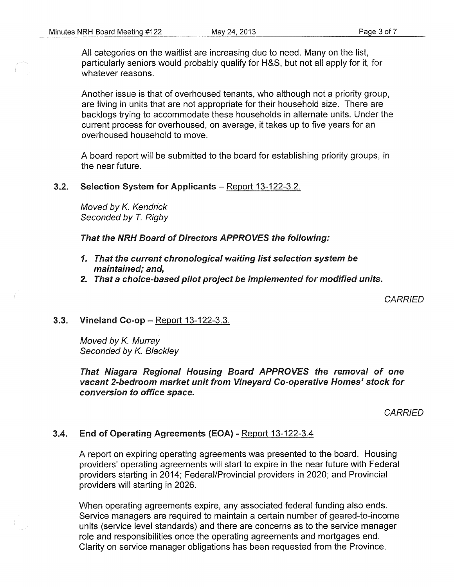All categories on the waitlist are increasing due to need. Many on the list, particularly seniors would probably qualify for H&S, but not all apply for it, for whatever reasons.

Another issue is that of overhoused tenants, who although not a priority group, are living in units that are not appropriate for their household size. There are backlogs trying to accommodate these households in alternate units. Under the current process for overhoused, on average, it takes up to five years for an overhoused household to move.

A board report will be submitted to the board for establishing priority groups, in the near future.

#### 3.2. Selection System for Applicants – Report 13-122-3.2.

Moved by K. Kendrick Seconded by T. Rigby

That the NRH Board of Directors APPROVES the following:

- 1. That the current chronological waiting list selection system be maintained; and,
- 2. That a choice-based pilot project be implemented for modified units.

**CARRIED** 

#### 3.3. Vineland Co-op- Report 13-122-3.3.

Moved by K. Murray Seconded by K. Blackley

That Niagara Regional Housing Board APPROVES the removal of one vacant 2-bedroom market unit from Vineyard Co-operative Homes' stock for conversion to office space.

**CARRIED** 

#### 3.4. End of Operating Agreements (EOA)- Report 13-122-3.4

A report on expiring operating agreements was presented to the board. Housing providers' operating agreements will start to expire in the near future with Federal providers starting in 2014; Federal/Provincial providers in 2020; and Provincial providers will starting in 2026.

When operating agreements expire, any associated federal funding also ends. Service managers are required to maintain a certain number of geared-to-income units (service level standards) and there are concerns as to the service manager role and responsibilities once the operating agreements and mortgages end. Clarity on service manager obligations has been requested from the Province.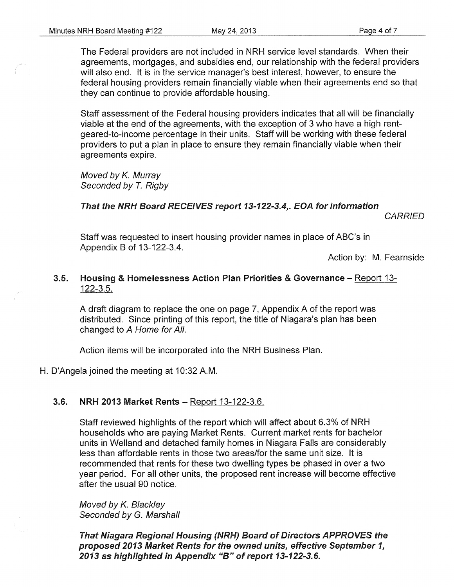The Federal providers are not included in NRH service level standards. When their agreements, mortgages, and subsidies end, our relationship with the federal providers will also end. It is in the service manager's best interest, however, to ensure the federal housing providers remain financially viable when their agreements end so that they can continue to provide affordable housing.

Staff assessment of the Federal housing providers indicates that all will be financially viable at the end of the agreements, with the exception of 3 who have a high rentgeared-to-income percentage in their units. Staff will be working with these federal providers to put a plan in place to ensure they remain financially viable when their agreements expire.

Moved by K. Murray Seconded by T. Rigby

### That the NRH Board RECEIVES report 13-122-3.4,. EOA for information

**CARRIED** 

Staff was requested to insert housing provider names in place of ABC's in Appendix B of 13-122-3.4.

Action by: M. Fearnside

#### 3.5. Housing & Homelessness Action Plan Priorities & Governance – Report 13-122-3.5.

A draft diagram to replace the one on page 7, Appendix A of the report was distributed. Since printing of this report, the title of Niagara's plan has been changed to A Home for All.

Action items will be incorporated into the NRH Business Plan.

H. D'Angela joined the meeting at 10:32 A.M.

### 3.6. NRH 2013 Market Rents- Report 13-122-3.6.

Staff reviewed highlights of the report which will affect about 6.3% of NRH households who are paying Market Rents. Current market rents for bachelor units in Weiland and detached family homes in Niagara Falls are considerably less than affordable rents in those two areas/for the same unit size. It is recommended that rents for these two dwelling types be phased in over a two year period. For all other units, the proposed rent increase will become effective after the usual 90 notice.

Moved by K. Blackley Seconded by G. Marshall

That Niagara Regional Housing (NRH) Board of Directors APPROVES the proposed 2013 Market Rents for the owned units, effective September 1, 2013 as highlighted in Appendix "B" of report 13-122-3.6.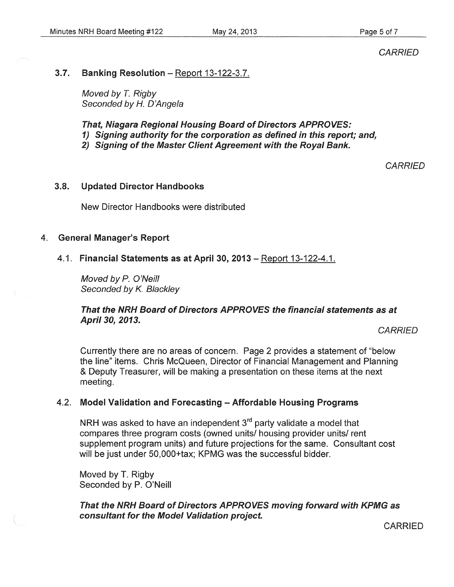**CARRIED** 

#### 3.7. Banking Resolution - Report 13-122-3.7.

Moved by *T.* Rigby Seconded by H. D'Angela

That, Niagara Regional Housing Board of Directors APPROVES: 1) Signing authority for the corporation as defined in this report; and, 2) Signing of the Master Client Agreement with the Royal Bank.

**CARRIED** 

#### 3.8. Updated Director Handbooks

New Director Handbooks were distributed

#### 4. General Manager's Report

#### 4.1. Financial Statements as at April 30, 2013 - Report 13-122-4.1.

Moved by *P.* O'Neill Seconded by K. Blackley

#### That the NRH Board of Directors APPROVES the financial statements as at April 30, 2013.

**CARRIED** 

Currently there are no areas of concern. Page 2 provides a statement of "below the line" items. Chris McQueen, Director of Financial Management and Planning & Deputy Treasurer, will be making a presentation on these items at the next meeting.

### 4.2. Model Validation and Forecasting - Affordable Housing Programs

NRH was asked to have an independent 3<sup>rd</sup> party validate a model that compares three program costs (owned units/ housing provider units/ rent supplement program units) and future projections for the same. Consultant cost will be just under 50,000+tax; KPMG was the successful bidder.

Moved by T. Rigby Seconded by P. O'Neill

That the NRH Board of Directors APPROVES moving forward with KPMG as consultant for the Model Validation project.

CARRIED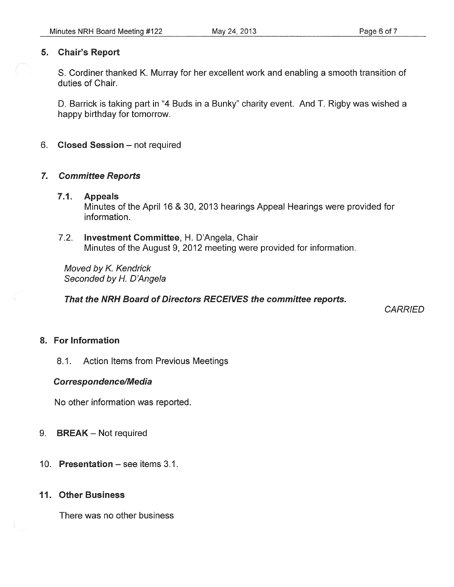### 5. Chair's Report

S. Cordiner thanked K. Murray for her excellent work and enabling a smooth transition of duties of Chair.

D. Barrick is taking part in "4 Buds in a Bunky" charity event. And T. Rigby was wished a happy birthday for tomorrow.

6. Closed Session - not required

### 7. Committee Reports

### 7.1. Appeals Minutes of the April 16 & 30, 2013 hearings Appeal Hearings were provided for information.

7.2. Investment Committee, H. D'Angela, Chair Minutes of the August 9, 2012 meeting were provided for information.

Moved by K. Kendrick Seconded by *H.* D'Angela

That the NRH Board of Directors RECEIVES the committee reports.

*CARRIED* 

## 8. For Information

8.1. Action Items from Previous Meetings

### Correspondence/Media

No other information was reported.

- 9. **BREAK** Not required
- 10. Presentation see items 3.1.

### 11. Other Business

There was no other business